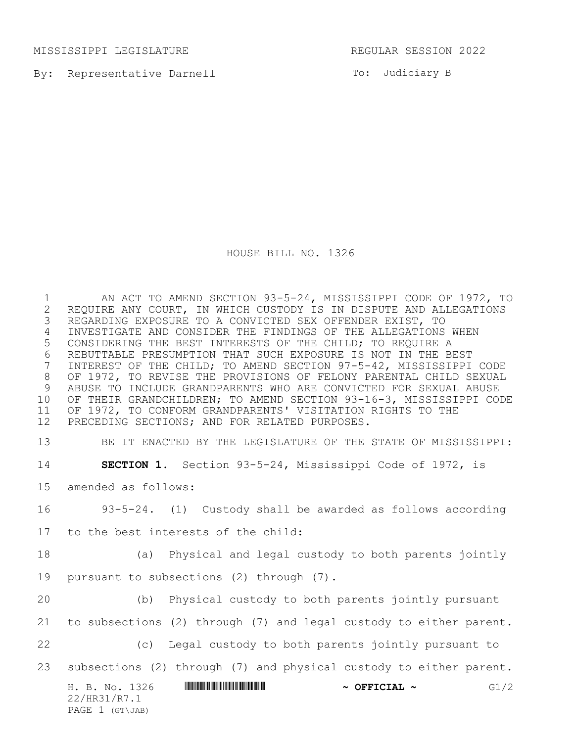MISSISSIPPI LEGISLATURE REGULAR SESSION 2022

By: Representative Darnell

To: Judiciary B

HOUSE BILL NO. 1326

1 AN ACT TO AMEND SECTION 93-5-24, MISSISSIPPI CODE OF 1972, TO<br>2 REQUIRE ANY COURT, IN WHICH CUSTODY IS IN DISPUTE AND ALLEGATIONS 2 REQUIRE ANY COURT, IN WHICH CUSTODY IS IN DISPUTE AND ALLEGATIONS<br>3 REGARDING EXPOSURE TO A CONVICTED SEX OFFENDER EXIST, TO REGARDING EXPOSURE TO A CONVICTED SEX OFFENDER EXIST, TO INVESTIGATE AND CONSIDER THE FINDINGS OF THE ALLEGATIONS WHEN CONSIDERING THE BEST INTERESTS OF THE CHILD; TO REQUIRE A 6 REBUTTABLE PRESUMPTION THAT SUCH EXPOSURE IS NOT IN THE BEST<br>7 INTEREST OF THE CHILD; TO AMEND SECTION 97-5-42, MISSISSIPPI INTEREST OF THE CHILD; TO AMEND SECTION 97-5-42, MISSISSIPPI CODE OF 1972, TO REVISE THE PROVISIONS OF FELONY PARENTAL CHILD SEXUAL ABUSE TO INCLUDE GRANDPARENTS WHO ARE CONVICTED FOR SEXUAL ABUSE OF THEIR GRANDCHILDREN; TO AMEND SECTION 93-16-3, MISSISSIPPI CODE OF 1972, TO CONFORM GRANDPARENTS' VISITATION RIGHTS TO THE PRECEDING SECTIONS; AND FOR RELATED PURPOSES.

BE IT ENACTED BY THE LEGISLATURE OF THE STATE OF MISSISSIPPI:

**SECTION 1.** Section 93-5-24, Mississippi Code of 1972, is

amended as follows:

93-5-24. (1) Custody shall be awarded as follows according

to the best interests of the child:

 (a) Physical and legal custody to both parents jointly pursuant to subsections (2) through (7).

 (b) Physical custody to both parents jointly pursuant to subsections (2) through (7) and legal custody to either parent. (c) Legal custody to both parents jointly pursuant to

subsections (2) through (7) and physical custody to either parent.

H. B. No. 1326 **ANNIFORM IN SECTION ASSECTAL ~** G1/2 22/HR31/R7.1 PAGE 1 (GT\JAB)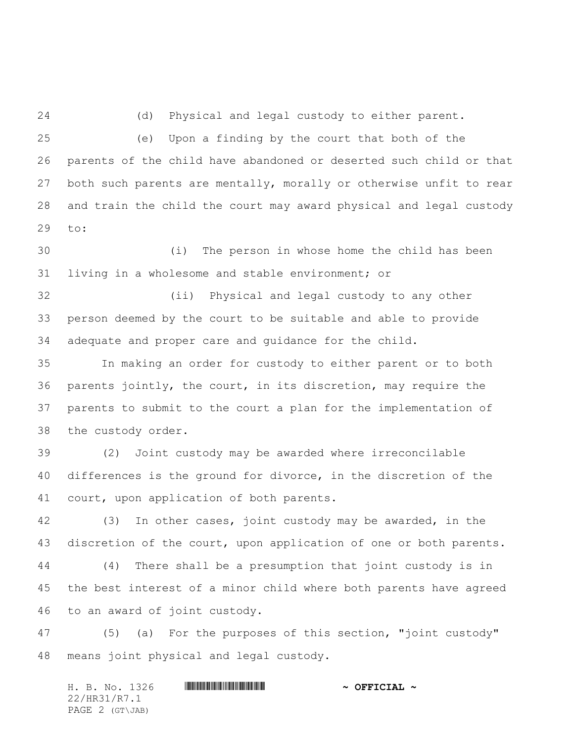(d) Physical and legal custody to either parent.

 (e) Upon a finding by the court that both of the parents of the child have abandoned or deserted such child or that both such parents are mentally, morally or otherwise unfit to rear and train the child the court may award physical and legal custody to:

 (i) The person in whose home the child has been living in a wholesome and stable environment; or

 (ii) Physical and legal custody to any other person deemed by the court to be suitable and able to provide adequate and proper care and guidance for the child.

 In making an order for custody to either parent or to both parents jointly, the court, in its discretion, may require the parents to submit to the court a plan for the implementation of the custody order.

 (2) Joint custody may be awarded where irreconcilable differences is the ground for divorce, in the discretion of the court, upon application of both parents.

 (3) In other cases, joint custody may be awarded, in the 43 discretion of the court, upon application of one or both parents. (4) There shall be a presumption that joint custody is in the best interest of a minor child where both parents have agreed to an award of joint custody.

 (5) (a) For the purposes of this section, "joint custody" means joint physical and legal custody.

H. B. No. 1326 **. AND ADDED ASSESSED AT A SET OF FICIAL ~** 22/HR31/R7.1 PAGE 2 (GT\JAB)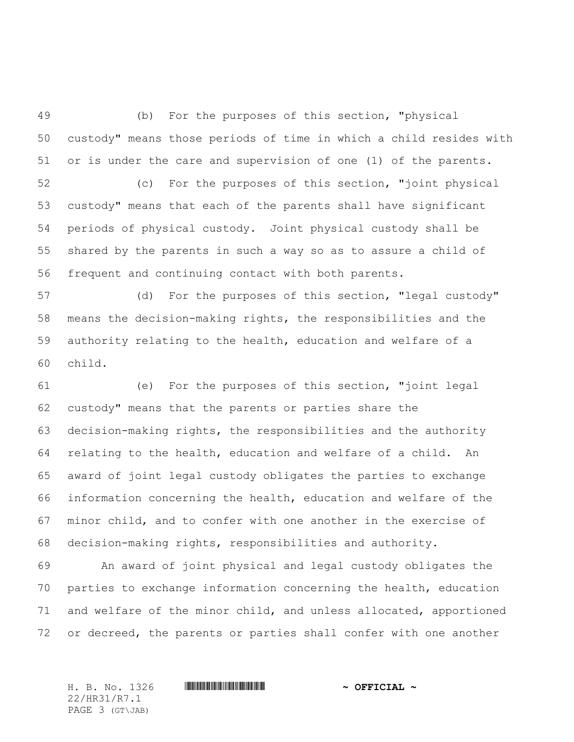(b) For the purposes of this section, "physical custody" means those periods of time in which a child resides with or is under the care and supervision of one (1) of the parents.

 (c) For the purposes of this section, "joint physical custody" means that each of the parents shall have significant periods of physical custody. Joint physical custody shall be shared by the parents in such a way so as to assure a child of frequent and continuing contact with both parents.

 (d) For the purposes of this section, "legal custody" means the decision-making rights, the responsibilities and the authority relating to the health, education and welfare of a child.

 (e) For the purposes of this section, "joint legal custody" means that the parents or parties share the decision-making rights, the responsibilities and the authority relating to the health, education and welfare of a child. An award of joint legal custody obligates the parties to exchange information concerning the health, education and welfare of the minor child, and to confer with one another in the exercise of decision-making rights, responsibilities and authority.

 An award of joint physical and legal custody obligates the parties to exchange information concerning the health, education and welfare of the minor child, and unless allocated, apportioned or decreed, the parents or parties shall confer with one another

22/HR31/R7.1 PAGE 3 (GT\JAB)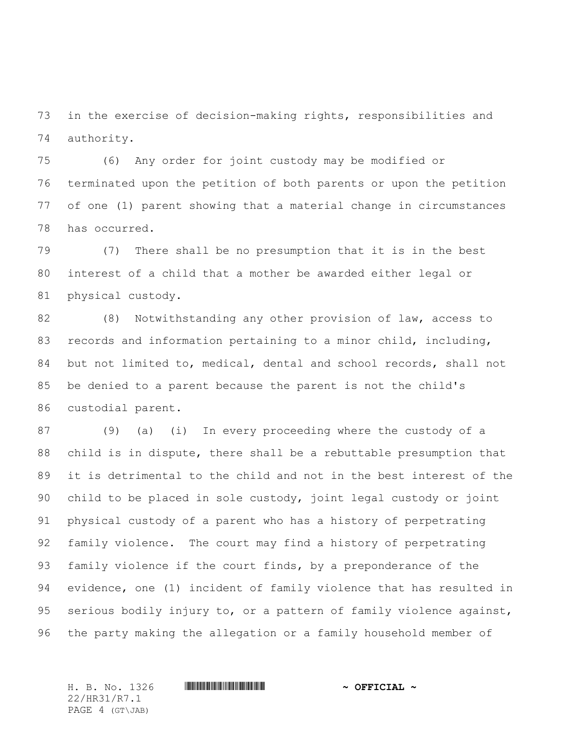in the exercise of decision-making rights, responsibilities and authority.

 (6) Any order for joint custody may be modified or terminated upon the petition of both parents or upon the petition of one (1) parent showing that a material change in circumstances has occurred.

 (7) There shall be no presumption that it is in the best interest of a child that a mother be awarded either legal or physical custody.

 (8) Notwithstanding any other provision of law, access to records and information pertaining to a minor child, including, but not limited to, medical, dental and school records, shall not be denied to a parent because the parent is not the child's custodial parent.

 (9) (a) (i) In every proceeding where the custody of a child is in dispute, there shall be a rebuttable presumption that it is detrimental to the child and not in the best interest of the child to be placed in sole custody, joint legal custody or joint physical custody of a parent who has a history of perpetrating family violence. The court may find a history of perpetrating family violence if the court finds, by a preponderance of the evidence, one (1) incident of family violence that has resulted in serious bodily injury to, or a pattern of family violence against, the party making the allegation or a family household member of

22/HR31/R7.1 PAGE 4 (GT\JAB)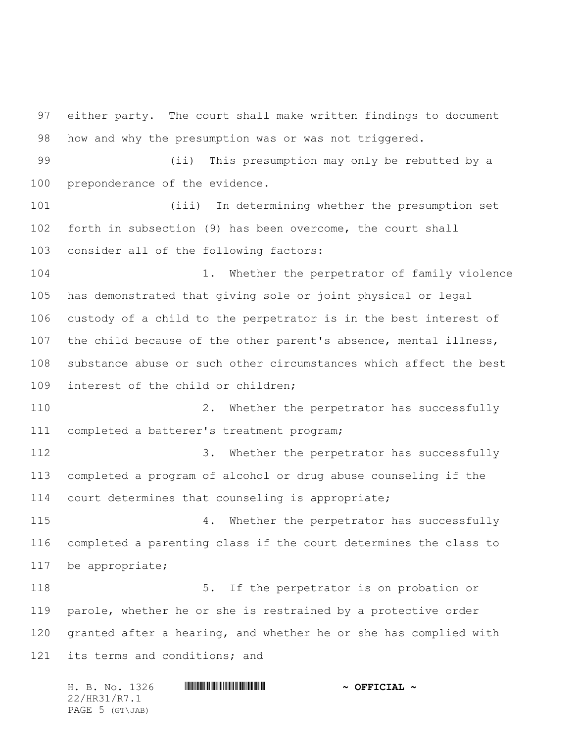either party. The court shall make written findings to document how and why the presumption was or was not triggered. (ii) This presumption may only be rebutted by a preponderance of the evidence. (iii) In determining whether the presumption set forth in subsection (9) has been overcome, the court shall consider all of the following factors: 1. Whether the perpetrator of family violence has demonstrated that giving sole or joint physical or legal custody of a child to the perpetrator is in the best interest of the child because of the other parent's absence, mental illness, substance abuse or such other circumstances which affect the best interest of the child or children; 2. Whether the perpetrator has successfully completed a batterer's treatment program; 112 3. Whether the perpetrator has successfully completed a program of alcohol or drug abuse counseling if the court determines that counseling is appropriate; 4. Whether the perpetrator has successfully completed a parenting class if the court determines the class to be appropriate; 118 118 5. If the perpetrator is on probation or parole, whether he or she is restrained by a protective order granted after a hearing, and whether he or she has complied with 121 its terms and conditions; and

H. B. No. 1326 \*HR31/R7.1\* **~ OFFICIAL ~** 22/HR31/R7.1 PAGE 5 (GT\JAB)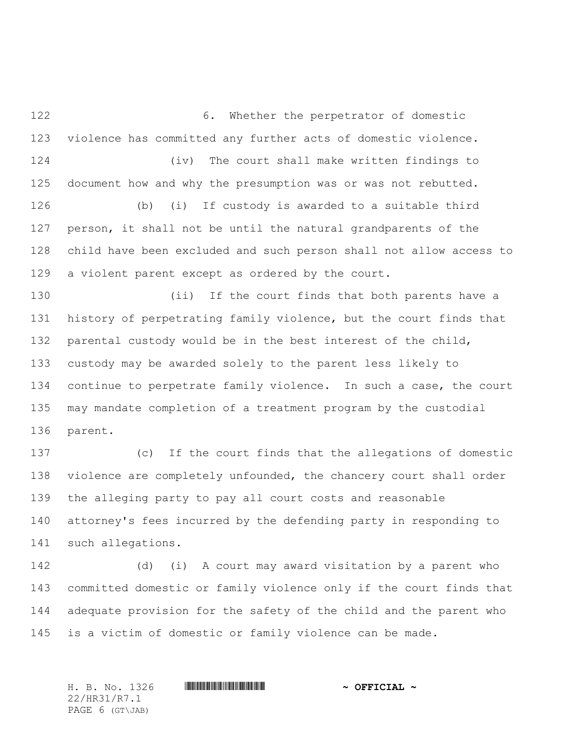6. Whether the perpetrator of domestic violence has committed any further acts of domestic violence. (iv) The court shall make written findings to document how and why the presumption was or was not rebutted. (b) (i) If custody is awarded to a suitable third person, it shall not be until the natural grandparents of the child have been excluded and such person shall not allow access to a violent parent except as ordered by the court. (ii) If the court finds that both parents have a history of perpetrating family violence, but the court finds that parental custody would be in the best interest of the child, custody may be awarded solely to the parent less likely to continue to perpetrate family violence. In such a case, the court may mandate completion of a treatment program by the custodial parent. (c) If the court finds that the allegations of domestic violence are completely unfounded, the chancery court shall order the alleging party to pay all court costs and reasonable attorney's fees incurred by the defending party in responding to such allegations.

 (d) (i) A court may award visitation by a parent who committed domestic or family violence only if the court finds that adequate provision for the safety of the child and the parent who is a victim of domestic or family violence can be made.

H. B. No. 1326 \*HR31/R7.1\* **~ OFFICIAL ~** 22/HR31/R7.1 PAGE 6 (GT\JAB)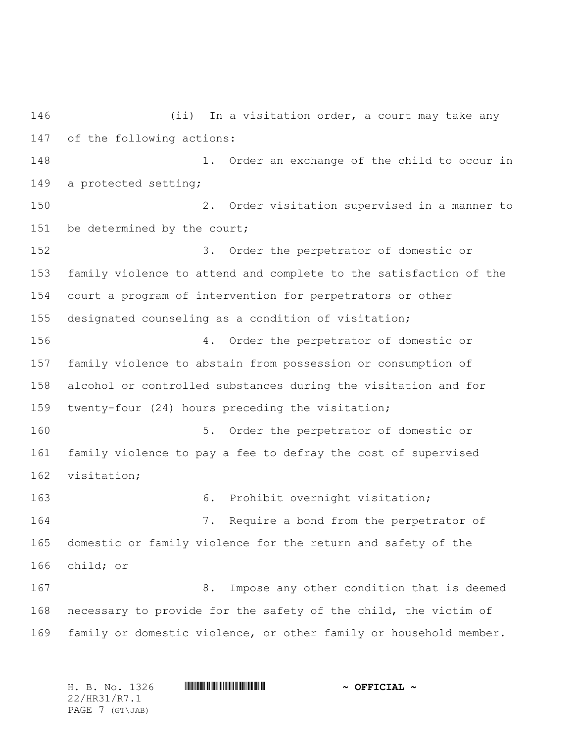(ii) In a visitation order, a court may take any of the following actions: 1. Order an exchange of the child to occur in a protected setting; 2. Order visitation supervised in a manner to 151 be determined by the court; 3. Order the perpetrator of domestic or family violence to attend and complete to the satisfaction of the court a program of intervention for perpetrators or other designated counseling as a condition of visitation; 4. Order the perpetrator of domestic or family violence to abstain from possession or consumption of alcohol or controlled substances during the visitation and for twenty-four (24) hours preceding the visitation; 5. Order the perpetrator of domestic or family violence to pay a fee to defray the cost of supervised visitation; 163 6. Prohibit overnight visitation; 7. Require a bond from the perpetrator of domestic or family violence for the return and safety of the child; or 8. Impose any other condition that is deemed necessary to provide for the safety of the child, the victim of family or domestic violence, or other family or household member.

H. B. No. 1326 \*HR31/R7.1\* **~ OFFICIAL ~** 22/HR31/R7.1 PAGE 7 (GT\JAB)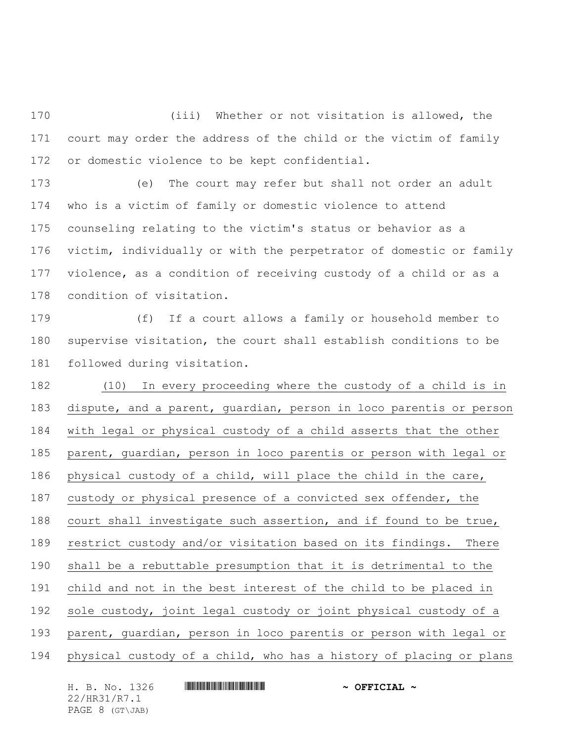(iii) Whether or not visitation is allowed, the court may order the address of the child or the victim of family or domestic violence to be kept confidential.

 (e) The court may refer but shall not order an adult who is a victim of family or domestic violence to attend counseling relating to the victim's status or behavior as a victim, individually or with the perpetrator of domestic or family violence, as a condition of receiving custody of a child or as a condition of visitation.

 (f) If a court allows a family or household member to supervise visitation, the court shall establish conditions to be followed during visitation.

 (10) In every proceeding where the custody of a child is in dispute, and a parent, guardian, person in loco parentis or person with legal or physical custody of a child asserts that the other parent, guardian, person in loco parentis or person with legal or physical custody of a child, will place the child in the care, custody or physical presence of a convicted sex offender, the court shall investigate such assertion, and if found to be true, restrict custody and/or visitation based on its findings. There shall be a rebuttable presumption that it is detrimental to the child and not in the best interest of the child to be placed in sole custody, joint legal custody or joint physical custody of a parent, guardian, person in loco parentis or person with legal or physical custody of a child, who has a history of placing or plans

| H. B. No. 1326  | $\sim$ OFFICIAL $\sim$ |
|-----------------|------------------------|
| 22/HR31/R7.1    |                        |
| PAGE 8 (GT\JAB) |                        |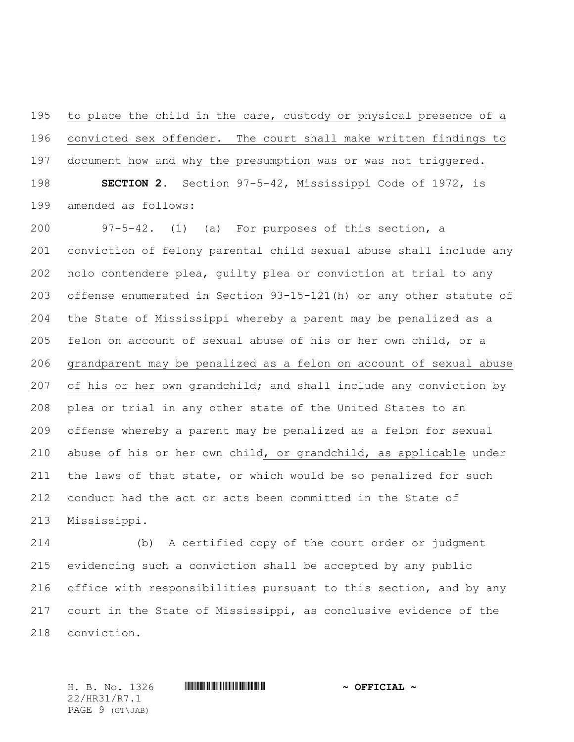to place the child in the care, custody or physical presence of a convicted sex offender. The court shall make written findings to document how and why the presumption was or was not triggered.

 **SECTION 2.** Section 97-5-42, Mississippi Code of 1972, is amended as follows:

 97-5-42. (1) (a) For purposes of this section, a conviction of felony parental child sexual abuse shall include any nolo contendere plea, guilty plea or conviction at trial to any offense enumerated in Section 93-15-121(h) or any other statute of the State of Mississippi whereby a parent may be penalized as a felon on account of sexual abuse of his or her own child, or a grandparent may be penalized as a felon on account of sexual abuse of his or her own grandchild; and shall include any conviction by plea or trial in any other state of the United States to an offense whereby a parent may be penalized as a felon for sexual abuse of his or her own child, or grandchild, as applicable under the laws of that state, or which would be so penalized for such conduct had the act or acts been committed in the State of Mississippi.

 (b) A certified copy of the court order or judgment evidencing such a conviction shall be accepted by any public office with responsibilities pursuant to this section, and by any court in the State of Mississippi, as conclusive evidence of the conviction.

22/HR31/R7.1 PAGE 9 (GT\JAB)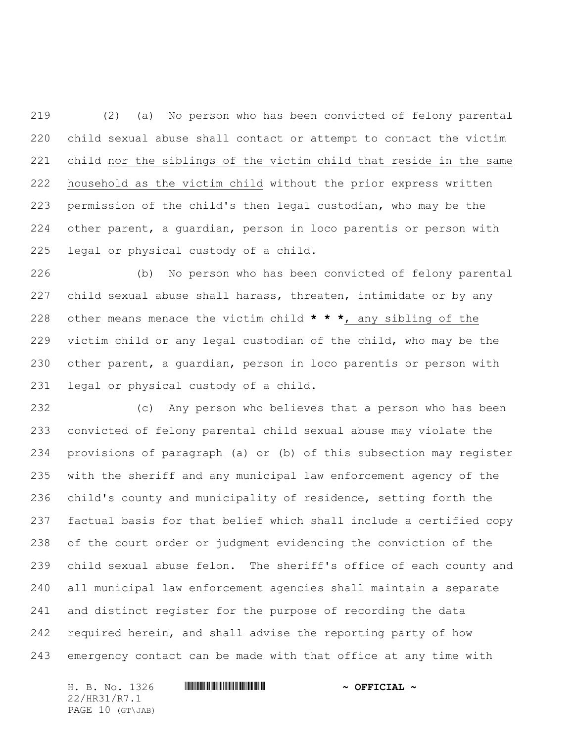(2) (a) No person who has been convicted of felony parental child sexual abuse shall contact or attempt to contact the victim child nor the siblings of the victim child that reside in the same household as the victim child without the prior express written permission of the child's then legal custodian, who may be the other parent, a guardian, person in loco parentis or person with legal or physical custody of a child.

 (b) No person who has been convicted of felony parental child sexual abuse shall harass, threaten, intimidate or by any other means menace the victim child **\* \* \***, any sibling of the victim child or any legal custodian of the child, who may be the other parent, a guardian, person in loco parentis or person with legal or physical custody of a child.

 (c) Any person who believes that a person who has been convicted of felony parental child sexual abuse may violate the provisions of paragraph (a) or (b) of this subsection may register with the sheriff and any municipal law enforcement agency of the child's county and municipality of residence, setting forth the factual basis for that belief which shall include a certified copy of the court order or judgment evidencing the conviction of the child sexual abuse felon. The sheriff's office of each county and all municipal law enforcement agencies shall maintain a separate and distinct register for the purpose of recording the data required herein, and shall advise the reporting party of how emergency contact can be made with that office at any time with

H. B. No. 1326 \*HR31/R7.1\* **~ OFFICIAL ~** 22/HR31/R7.1 PAGE 10 (GT\JAB)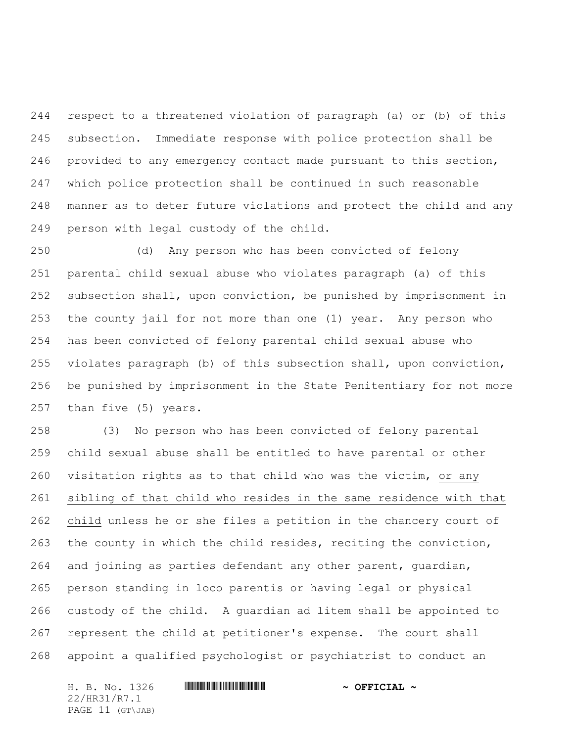respect to a threatened violation of paragraph (a) or (b) of this subsection. Immediate response with police protection shall be provided to any emergency contact made pursuant to this section, which police protection shall be continued in such reasonable manner as to deter future violations and protect the child and any person with legal custody of the child.

 (d) Any person who has been convicted of felony parental child sexual abuse who violates paragraph (a) of this subsection shall, upon conviction, be punished by imprisonment in the county jail for not more than one (1) year. Any person who has been convicted of felony parental child sexual abuse who violates paragraph (b) of this subsection shall, upon conviction, be punished by imprisonment in the State Penitentiary for not more than five (5) years.

 (3) No person who has been convicted of felony parental child sexual abuse shall be entitled to have parental or other visitation rights as to that child who was the victim, or any sibling of that child who resides in the same residence with that child unless he or she files a petition in the chancery court of the county in which the child resides, reciting the conviction, and joining as parties defendant any other parent, guardian, person standing in loco parentis or having legal or physical custody of the child. A guardian ad litem shall be appointed to represent the child at petitioner's expense. The court shall appoint a qualified psychologist or psychiatrist to conduct an

H. B. No. 1326 **. AND ADDED ASSESSED AT A SET OF FICIAL ~** 22/HR31/R7.1 PAGE 11 (GT\JAB)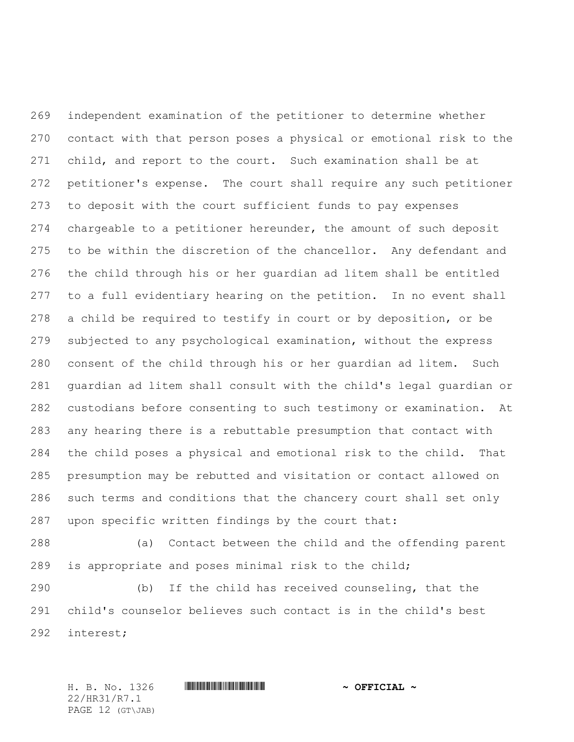independent examination of the petitioner to determine whether contact with that person poses a physical or emotional risk to the child, and report to the court. Such examination shall be at petitioner's expense. The court shall require any such petitioner to deposit with the court sufficient funds to pay expenses chargeable to a petitioner hereunder, the amount of such deposit 275 to be within the discretion of the chancellor. Any defendant and the child through his or her guardian ad litem shall be entitled to a full evidentiary hearing on the petition. In no event shall a child be required to testify in court or by deposition, or be subjected to any psychological examination, without the express consent of the child through his or her guardian ad litem. Such guardian ad litem shall consult with the child's legal guardian or custodians before consenting to such testimony or examination. At any hearing there is a rebuttable presumption that contact with the child poses a physical and emotional risk to the child. That presumption may be rebutted and visitation or contact allowed on such terms and conditions that the chancery court shall set only upon specific written findings by the court that:

 (a) Contact between the child and the offending parent is appropriate and poses minimal risk to the child;

 (b) If the child has received counseling, that the child's counselor believes such contact is in the child's best interest;

H. B. No. 1326 \*HR31/R7.1\* **~ OFFICIAL ~** 22/HR31/R7.1 PAGE 12 (GT\JAB)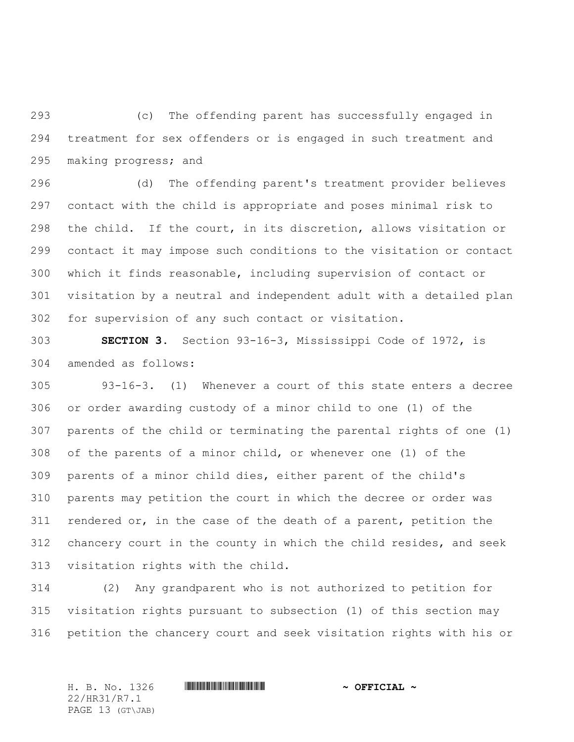(c) The offending parent has successfully engaged in treatment for sex offenders or is engaged in such treatment and making progress; and

 (d) The offending parent's treatment provider believes contact with the child is appropriate and poses minimal risk to the child. If the court, in its discretion, allows visitation or contact it may impose such conditions to the visitation or contact which it finds reasonable, including supervision of contact or visitation by a neutral and independent adult with a detailed plan for supervision of any such contact or visitation.

 **SECTION 3.** Section 93-16-3, Mississippi Code of 1972, is amended as follows:

 93-16-3. (1) Whenever a court of this state enters a decree or order awarding custody of a minor child to one (1) of the parents of the child or terminating the parental rights of one (1) of the parents of a minor child, or whenever one (1) of the parents of a minor child dies, either parent of the child's parents may petition the court in which the decree or order was rendered or, in the case of the death of a parent, petition the chancery court in the county in which the child resides, and seek visitation rights with the child.

 (2) Any grandparent who is not authorized to petition for visitation rights pursuant to subsection (1) of this section may petition the chancery court and seek visitation rights with his or

22/HR31/R7.1 PAGE 13 (GT\JAB)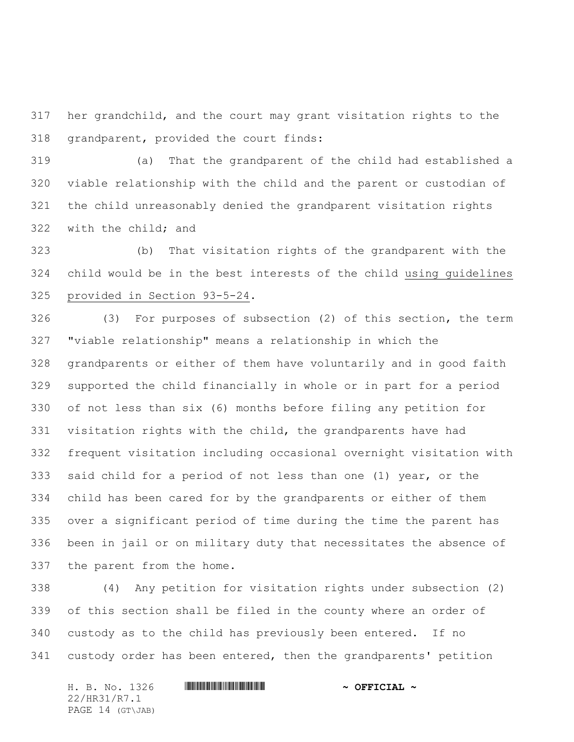her grandchild, and the court may grant visitation rights to the grandparent, provided the court finds:

 (a) That the grandparent of the child had established a viable relationship with the child and the parent or custodian of the child unreasonably denied the grandparent visitation rights with the child; and

 (b) That visitation rights of the grandparent with the child would be in the best interests of the child using guidelines provided in Section 93-5-24.

 (3) For purposes of subsection (2) of this section, the term "viable relationship" means a relationship in which the grandparents or either of them have voluntarily and in good faith supported the child financially in whole or in part for a period of not less than six (6) months before filing any petition for visitation rights with the child, the grandparents have had frequent visitation including occasional overnight visitation with said child for a period of not less than one (1) year, or the child has been cared for by the grandparents or either of them over a significant period of time during the time the parent has been in jail or on military duty that necessitates the absence of the parent from the home.

 (4) Any petition for visitation rights under subsection (2) of this section shall be filed in the county where an order of custody as to the child has previously been entered. If no custody order has been entered, then the grandparents' petition

H. B. No. 1326 \*HR31/R7.1\* **~ OFFICIAL ~** 22/HR31/R7.1 PAGE 14 (GT\JAB)